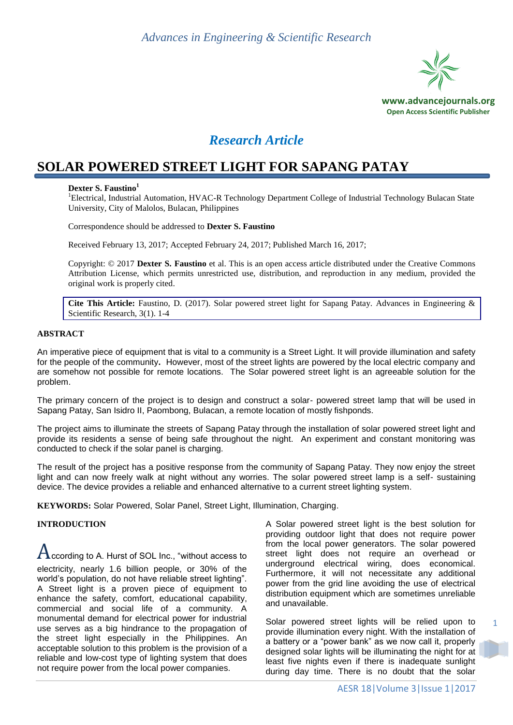

# *Research Article*

# **SOLAR POWERED STREET LIGHT FOR SAPANG PATAY**

## **Dexter S. Faustino<sup>1</sup>**

<sup>1</sup>Electrical, Industrial Automation, HVAC-R Technology Department College of Industrial Technology Bulacan State University, City of Malolos, Bulacan, Philippines

Correspondence should be addressed to **Dexter S. Faustino**

Received February 13, 2017; Accepted February 24, 2017; Published March 16, 2017;

Copyright: © 2017 **Dexter S. Faustino** et al. This is an open access article distributed under the Creative Commons Attribution License, which permits unrestricted use, distribution, and reproduction in any medium, provided the original work is properly cited.

**Cite This Article:** Faustino, D. (2017). Solar powered street light for Sapang Patay. Advances in Engineering & Scientific Research, 3(1). 1-4

## **ABSTRACT**

An imperative piece of equipment that is vital to a community is a Street Light. It will provide illumination and safety for the people of the community**.** However, most of the street lights are powered by the local electric company and are somehow not possible for remote locations. The Solar powered street light is an agreeable solution for the problem.

The primary concern of the project is to design and construct a solar- powered street lamp that will be used in Sapang Patay, San Isidro II, Paombong, Bulacan, a remote location of mostly fishponds.

The project aims to illuminate the streets of Sapang Patay through the installation of solar powered street light and provide its residents a sense of being safe throughout the night. An experiment and constant monitoring was conducted to check if the solar panel is charging.

The result of the project has a positive response from the community of Sapang Patay. They now enjoy the street light and can now freely walk at night without any worries. The solar powered street lamp is a self- sustaining device. The device provides a reliable and enhanced alternative to a current street lighting system.

**KEYWORDS:** Solar Powered, Solar Panel, Street Light, Illumination, Charging.

## **INTRODUCTION**

 ${\mathbf A}$ ccording to A. Hurst of SOL Inc., "without access to electricity, nearly 1.6 billion people, or 30% of the world's population, do not have reliable street lighting". A Street light is a proven piece of equipment to enhance the safety, comfort, educational capability, commercial and social life of a community. A monumental demand for electrical power for industrial use serves as a big hindrance to the propagation of the street light especially in the Philippines. An acceptable solution to this problem is the provision of a reliable and low-cost type of lighting system that does not require power from the local power companies.

A Solar powered street light is the best solution for providing outdoor light that does not require power from the local power generators. The solar powered street light does not require an overhead or underground electrical wiring, does economical. Furthermore, it will not necessitate any additional power from the grid line avoiding the use of electrical distribution equipment which are sometimes unreliable and unavailable.

Solar powered street lights will be relied upon to provide illumination every night. With the installation of a battery or a "power bank" as we now call it, properly designed solar lights will be illuminating the night for at least five nights even if there is inadequate sunlight during day time. There is no doubt that the solar

1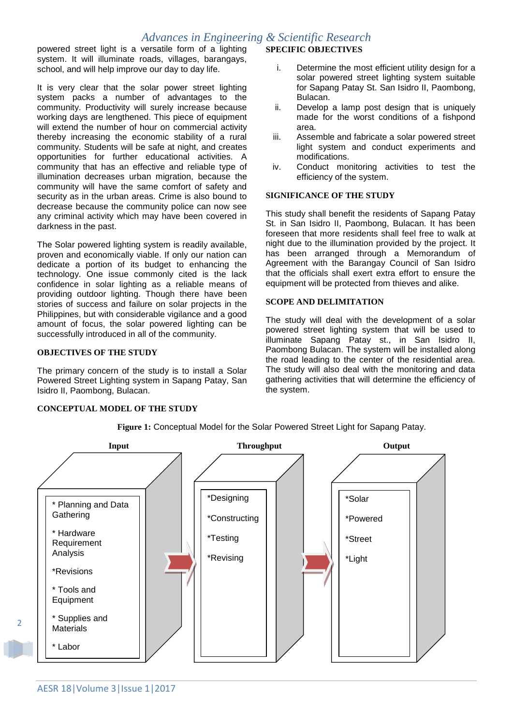# *Advances in Engineering & Scientific Research*

powered street light is a versatile form of a lighting system. It will illuminate roads, villages, barangays, school, and will help improve our day to day life.

It is very clear that the solar power street lighting system packs a number of advantages to the community. Productivity will surely increase because working days are lengthened. This piece of equipment will extend the number of hour on commercial activity thereby increasing the economic stability of a rural community. Students will be safe at night, and creates opportunities for further educational activities. A community that has an effective and reliable type of illumination decreases urban migration, because the community will have the same comfort of safety and security as in the urban areas. Crime is also bound to decrease because the community police can now see any criminal activity which may have been covered in darkness in the past.

The Solar powered lighting system is readily available, proven and economically viable. If only our nation can dedicate a portion of its budget to enhancing the technology. One issue commonly cited is the lack confidence in solar lighting as a reliable means of providing outdoor lighting. Though there have been stories of success and failure on solar projects in the Philippines, but with considerable vigilance and a good amount of focus, the solar powered lighting can be successfully introduced in all of the community.

## **OBJECTIVES OF THE STUDY**

The primary concern of the study is to install a Solar Powered Street Lighting system in Sapang Patay, San Isidro II, Paombong, Bulacan.

## **SPECIFIC OBJECTIVES**

- i. Determine the most efficient utility design for a solar powered street lighting system suitable for Sapang Patay St. San Isidro II, Paombong, Bulacan.
- ii. Develop a lamp post design that is uniquely made for the worst conditions of a fishpond area.
- iii. Assemble and fabricate a solar powered street light system and conduct experiments and modifications.
- iv. Conduct monitoring activities to test the efficiency of the system.

## **SIGNIFICANCE OF THE STUDY**

This study shall benefit the residents of Sapang Patay St. in San Isidro II, Paombong, Bulacan. It has been foreseen that more residents shall feel free to walk at night due to the illumination provided by the project. It has been arranged through a Memorandum of Agreement with the Barangay Council of San Isidro that the officials shall exert extra effort to ensure the equipment will be protected from thieves and alike.

## **SCOPE AND DELIMITATION**

The study will deal with the development of a solar powered street lighting system that will be used to illuminate Sapang Patay st., in San Isidro II, Paombong Bulacan. The system will be installed along the road leading to the center of the residential area. The study will also deal with the monitoring and data gathering activities that will determine the efficiency of the system.

## **CONCEPTUAL MODEL OF THE STUDY**



**Figure 1:** Conceptual Model for the Solar Powered Street Light for Sapang Patay.

2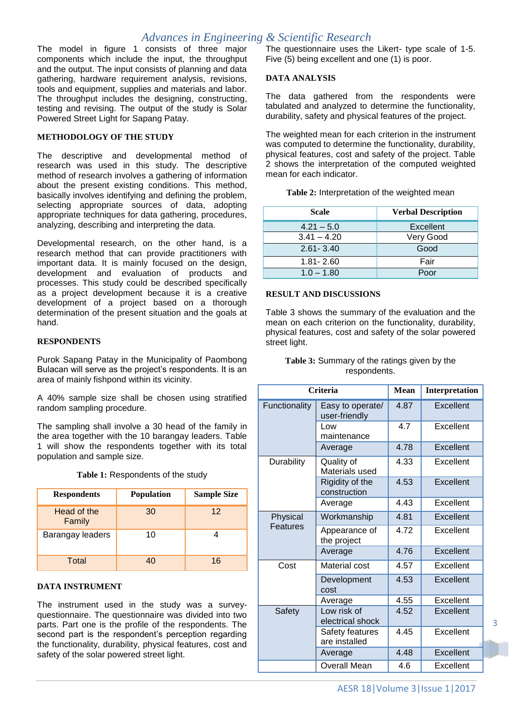## *Advances in Engineering & Scientific Research*

The model in figure 1 consists of three major components which include the input, the throughput and the output. The input consists of planning and data gathering, hardware requirement analysis, revisions, tools and equipment, supplies and materials and labor. The throughput includes the designing, constructing, testing and revising. The output of the study is Solar Powered Street Light for Sapang Patay.

## **METHODOLOGY OF THE STUDY**

The descriptive and developmental method of research was used in this study. The descriptive method of research involves a gathering of information about the present existing conditions. This method, basically involves identifying and defining the problem, selecting appropriate sources of data, adopting appropriate techniques for data gathering, procedures, analyzing, describing and interpreting the data.

Developmental research, on the other hand, is a research method that can provide practitioners with important data. It is mainly focused on the design, development and evaluation of products and processes. This study could be described specifically as a project development because it is a creative development of a project based on a thorough determination of the present situation and the goals at hand.

## **RESPONDENTS**

Purok Sapang Patay in the Municipality of Paombong Bulacan will serve as the project's respondents. It is an area of mainly fishpond within its vicinity.

A 40% sample size shall be chosen using stratified random sampling procedure.

The sampling shall involve a 30 head of the family in the area together with the 10 barangay leaders. Table 1 will show the respondents together with its total population and sample size.

|  |  |  | Table 1: Respondents of the study |  |  |  |
|--|--|--|-----------------------------------|--|--|--|
|--|--|--|-----------------------------------|--|--|--|

| <b>Respondents</b>    | <b>Population</b> | <b>Sample Size</b> |
|-----------------------|-------------------|--------------------|
| Head of the<br>Family | 30                | 12                 |
| Barangay leaders      | 10                |                    |
| Total                 | 40                | 16                 |

## **DATA INSTRUMENT**

The instrument used in the study was a surveyquestionnaire. The questionnaire was divided into two parts. Part one is the profile of the respondents. The second part is the respondent's perception regarding the functionality, durability, physical features, cost and safety of the solar powered street light.

The questionnaire uses the Likert- type scale of 1-5. Five (5) being excellent and one (1) is poor.

## **DATA ANALYSIS**

The data gathered from the respondents were tabulated and analyzed to determine the functionality, durability, safety and physical features of the project.

The weighted mean for each criterion in the instrument was computed to determine the functionality, durability, physical features, cost and safety of the project. Table 2 shows the interpretation of the computed weighted mean for each indicator.

**Table 2:** Interpretation of the weighted mean

| <b>Scale</b>  | <b>Verbal Description</b> |
|---------------|---------------------------|
| $4.21 - 5.0$  | Excellent                 |
| $3.41 - 4.20$ | Very Good                 |
| $2.61 - 3.40$ | Good                      |
| $1.81 - 2.60$ | Fair                      |
| $1.0 - 1.80$  | Poor                      |

#### **RESULT AND DISCUSSIONS**

Table 3 shows the summary of the evaluation and the mean on each criterion on the functionality, durability, physical features, cost and safety of the solar powered street light.

| Table 3: Summary of the ratings given by the |
|----------------------------------------------|
| respondents.                                 |

|                      | <b>Criteria</b>                   | <b>Mean</b> | Interpretation |
|----------------------|-----------------------------------|-------------|----------------|
| Functionality        | Easy to operate/<br>user-friendly | 4.87        | Excellent      |
|                      | Low<br>maintenance                | 4.7         | Excellent      |
|                      | Average                           | 4.78        | Excellent      |
| Durability           | Quality of<br>Materials used      | 4.33        | Excellent      |
|                      | Rigidity of the<br>construction   | 4.53        | Excellent      |
|                      | Average                           | 4.43        | Excellent      |
| Physical<br>Features | Workmanship                       | 4.81        | Excellent      |
|                      | Appearance of<br>the project      | 4.72        | Excellent      |
|                      | Average                           | 4.76        | Excellent      |
| Cost                 | Material cost                     | 4.57        | Excellent      |
|                      | Development<br>cost               | 4.53        | Excellent      |
|                      | Average                           | 4.55        | Excellent      |
| Safety               | Low risk of<br>electrical shock   | 4.52        | Excellent      |
|                      | Safety features<br>are installed  | 4.45        | Excellent      |
|                      | Average                           | 4.48        | Excellent      |
|                      | Overall Mean                      | 4.6         | Excellent      |